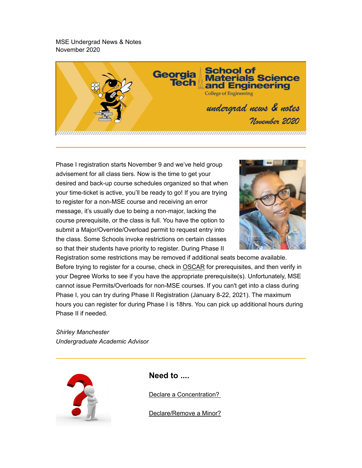MSE Undergrad News & Notes November 2020



Phase I registration starts November 9 and we've held group advisement for all class tiers. Now is the time to get your desired and back-up course schedules organized so that when your time-ticket is active, you'll be ready to go! If you are trying to register for a non-MSE course and receiving an error message, it's usually due to being a non-major, lacking the course prerequisite, or the class is full. You have the option to submit a Major/Override/Overload permit to request entry into the class. Some Schools invoke restrictions on certain classes so that their students have priority to register. During Phase II



Registration some restrictions may be removed if additional seats become available. Before trying to register for a course, check in OSCAR for prerequisites, and then verify in your Degree Works to see if you have the appropriate prerequisite(s). Unfortunately, MSE cannot issue Permits/Overloads for non-MSE courses. If you can't get into a class during Phase I, you can try during Phase II Registration (January 8-22, 2021). The maximum hours you can register for during Phase I is 18hrs. You can pick up additional hours during Phase II if needed.

*Shirley Manchester Undergraduate Academic Advisor*



**Need to ....**

Declare a Concentration?

Declare/Remove a Minor?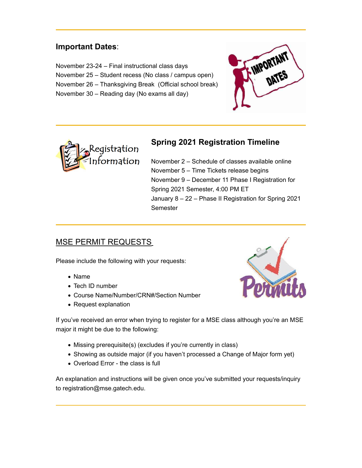### **Important Dates**:

November 23-24 – Final instructional class days November 25 – Student recess (No class / campus open) November 26 – Thanksgiving Break (Official school break) November 30 – Reading day (No exams all day)





### **Spring 2021 Registration Timeline**

November 2 – Schedule of classes available online November 5 – Time Tickets release begins November 9 – December 11 Phase I Registration for Spring 2021 Semester, 4:00 PM ET January 8 – 22 – Phase II Registration for Spring 2021 Semester

### MSE PERMIT REQUESTS

Please include the following with your requests:

- Name
- Tech ID number
- Course Name/Number/CRN#/Section Number
- Request explanation



If you've received an error when trying to register for a MSE class although you're an MSE major it might be due to the following:

- Missing prerequisite(s) (excludes if you're currently in class)
- Showing as outside major (if you haven't processed a Change of Major form yet)
- Overload Error the class is full

An explanation and instructions will be given once you've submitted your requests/inquiry to registration@mse.gatech.edu.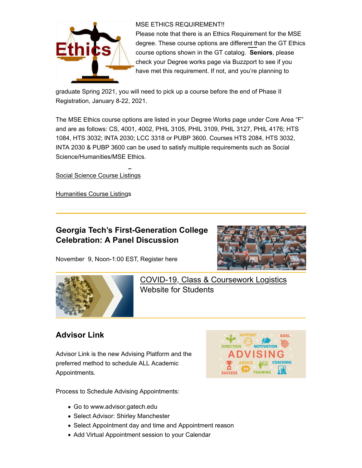

#### MSE ETHICS REQUIREMENT!!

Please note that there is an Ethics Requirement for the MSE degree. These course options are different than the GT Ethics course options shown in the GT catalog. **Seniors**, please check your Degree works page via Buzzport to see if you have met this requirement. If not, and you're planning to

graduate Spring 2021, you will need to pick up a course before the end of Phase II Registration, January 8-22, 2021.

The MSE Ethics course options are listed in your Degree Works page under Core Area "F" and are as follows: CS, 4001, 4002, PHIL 3105, PHIL 3109, PHIL 3127, PHIL 4176; HTS 1084, HTS 3032; INTA 2030; LCC 3318 or PUBP 3600. Courses HTS 2084, HTS 3032, INTA 2030 & PUBP 3600 can be used to satisfy multiple requirements such as Social Science/Humanities/MSE Ethics.

Social Science Course Listings

Humanities Course Listings

### **Georgia Tech's First-Generation College Celebration: A Panel Discussion**



November 9, Noon-1:00 EST, Register here



COVID-19, Class & Coursework Logistics Website for Students

### **Advisor Link**

Advisor Link is the new Advising Platform and the preferred method to schedule ALL Academic Appointments.



Process to Schedule Advising Appointments:

- Go to www.advisor.gatech.edu
- Select Advisor: Shirley Manchester
- Select Appointment day and time and Appointment reason
- Add Virtual Appointment session to your Calendar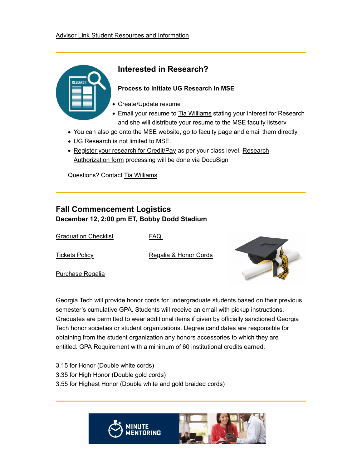

### **Interested in Research?**

#### **Process to initiate UG Research in MSE**

- Create/Update resume
- Email your resume to Tia Williams stating your interest for Research and she will distribute your resume to the MSE faculty listserv
- You can also go onto the MSE website, go to faculty page and email them directly
- UG Research is not limited to MSE.
- Register your research for Credit/Pay as per your class level. Research Authorization form processing will be done via DocuSign

Questions? Contact Tia Williams

### **Fall Commencement Logistics December 12, 2:00 pm ET, Bobby Dodd Stadium**

Graduation Checklist

FAQ

Tickets Policy

Regalia & Honor Cords

Purchase Regalia



Georgia Tech will provide honor cords for undergraduate students based on their previous semester's cumulative GPA. Students will receive an email with pickup instructions. Graduates are permitted to wear additional items if given by officially sanctioned Georgia Tech honor societies or student organizations. Degree candidates are responsible for obtaining from the student organization any honors accessories to which they are entitled. GPA Requirement with a minimum of 60 institutional credits earned:

3.15 for Honor (Double white cords) 3.35 for High Honor (Double gold cords) 3.55 for Highest Honor (Double white and gold braided cords)

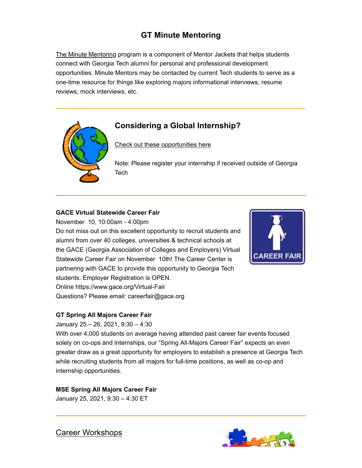## **GT Minute Mentoring**

The Minute Mentoring program is a component of Mentor Jackets that helps students connect with Georgia Tech alumni for personal and professional development opportunities. Minute Mentors may be contacted by current Tech students to serve as a one-time resource for things like exploring majors informational interviews, resume reviews, mock interviews, etc.



### **Considering a Global Internship?**

Check out these opportunities here

Note: Please register your internship if received outside of Georgia **Tech** 

#### **GACE Virtual Statewide Career Fair**

November 10, 10:00am - 4:00pm Do not miss out on this excellent opportunity to recruit students and alumni from over 40 colleges, universities & technical schools at the GACE (Georgia Association of Colleges and Employers) Virtual Statewide Career Fair on November 10th! The Career Center is partnering with GACE to provide this opportunity to Georgia Tech students. Employer Registration is OPEN. Online https://www.gace.org/Virtual-Fair Questions? Please email: careerfair@gace.org



#### **GT Spring All Majors Career Fair**

January 25 – 26, 2021, 9:30 – 4:30

With over 4,000 students on average having attended past career fair events focused solely on co-ops and internships, our "Spring All-Majors Career Fair" expects an even greater draw as a great opportunity for employers to establish a presence at Georgia Tech while recruiting students from all majors for full-time positions, as well as co-op and internship opportunities.

#### **MSE Spring All Majors Career Fair**

January 25, 2021, 9:30 – 4:30 ET

Career Workshops

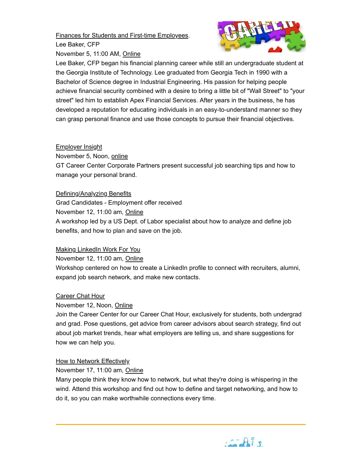Finances for Students and First-time Employees. Lee Baker, CFP



November 5, 11:00 AM, Online

Lee Baker, CFP began his financial planning career while still an undergraduate student at the Georgia Institute of Technology. Lee graduated from Georgia Tech in 1990 with a Bachelor of Science degree in Industrial Engineering. His passion for helping people achieve financial security combined with a desire to bring a little bit of "Wall Street" to "your street" led him to establish Apex Financial Services. After years in the business, he has developed a reputation for educating individuals in an easy-to-understand manner so they can grasp personal finance and use those concepts to pursue their financial objectives.

#### Employer Insight

November 5, Noon, online

GT Career Center Corporate Partners present successful job searching tips and how to manage your personal brand.

#### Defining/Analyzing Benefits

Grad Candidates - Employment offer received November 12, 11:00 am, Online A workshop led by a US Dept. of Labor specialist about how to analyze and define job benefits, and how to plan and save on the job.

#### Making LinkedIn Work For You

November 12, 11:00 am, Online

Workshop centered on how to create a LinkedIn profile to connect with recruiters, alumni, expand job search network, and make new contacts.

#### Career Chat Hour

#### November 12, Noon, Online

Join the Career Center for our Career Chat Hour, exclusively for students, both undergrad and grad. Pose questions, get advice from career advisors about search strategy, find out about job market trends, hear what employers are telling us, and share suggestions for how we can help you.

#### How to Network Effectively

November 17, 11:00 am, Online

Many people think they know how to network, but what they're doing is whispering in the wind. Attend this workshop and find out how to define and target networking, and how to do it, so you can make worthwhile connections every time.

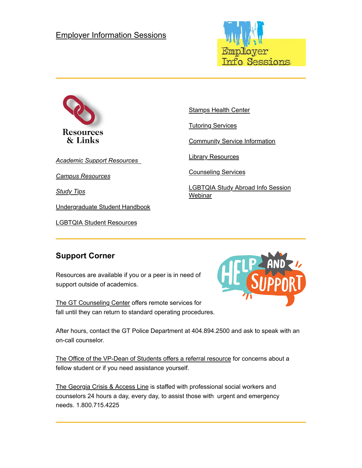### Employer Information Sessions





*Academic Support Resources*

*Campus Resources*

*Study Tips*

Undergraduate Student Handbook

LGBTQIA Student Resources

Stamps Health Center

Tutoring Services

Community Service Information

Library Resources

Counseling Services

LGBTQIA Study Abroad Info Session **Webinar** 

### **Support Corner**

Resources are available if you or a peer is in need of support outside of academics.

The GT Counseling Center offers remote services for fall until they can return to standard operating procedures.



After hours, contact the GT Police Department at 404.894.2500 and ask to speak with an on-call counselor.

The Office of the VP-Dean of Students offers a referral resource for concerns about a fellow student or if you need assistance yourself.

The Georgia Crisis & Access Line is staffed with professional social workers and counselors 24 hours a day, every day, to assist those with urgent and emergency needs. 1.800.715.4225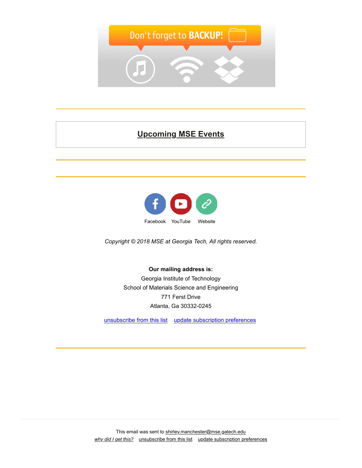

# **Upcoming MSE Events**



*Copyright © 2018 MSE at Georgia Tech, All rights reserved.*

#### **Our mailing address is:**

Georgia Institute of Technology School of Materials Science and Engineering 771 Ferst Drive Atlanta, Ga 30332-0245

unsubscribe from this list update subscription preferences